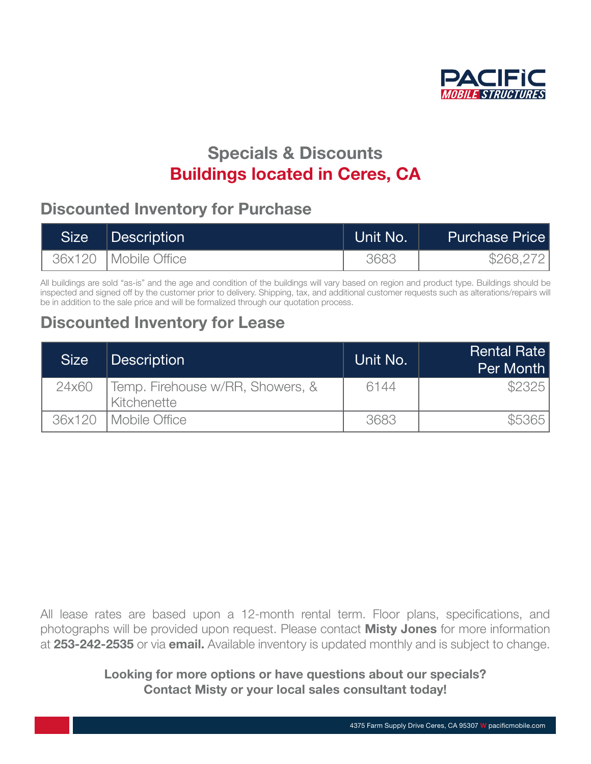

# Specials & Discounts **Buildings located in Ceres, CA**

### Discounted Inventory for Purchase<br> the turbulent economic conditions that our companies have faced in the recent years.

| <b>Size</b> | Description            | Unit No. | <b>Purchase Price</b> |
|-------------|------------------------|----------|-----------------------|
|             | 36x120   Mobile Office | 3683     | \$268,272             |

All buildings are sold "as-is" and the age and condition of the buildings will vary based on region and product type. Buildings should be inspected and signed off by the customer prior to delivery. Shipping, tax, and additional customer requests such as alterations/repairs will inspected and signed on by the customer phor to delivery. Shipping, tax, and additio<br>be in addition to the sale price and will be formalized through our quotation process.

## Discounted Inventory for Lease and wish to share that success are that success and wish to share that success a

| <b>Size</b> | <b>Description</b>                              | Unit No. | <b>Rental Rate</b><br>Per Month |
|-------------|-------------------------------------------------|----------|---------------------------------|
| 24x60       | Temp. Firehouse w/RR, Showers, &<br>Kitchenette | 6144     | \$2325                          |
|             | 36x120   Mobile Office                          | 3683     |                                 |

All lease rates are based upon a 12-month rental term. Floor plans, specifications, and photographs will be provided upon request. Please contact **Misty Jones** for more information photographs will be provided upon request. Please contact **Misty Jones** for more information at [253-242-2535](tel:253-242-2535) or via [email.](mailto:ilovetrailers%40pacificmobile.com?subject=Specials%20%26%20Discounts) Available inventory is updated monthly and is subject to change. Pris vill De

### Looking for more options or have questions about our specials? Contact Misty or your local sales consultant today!